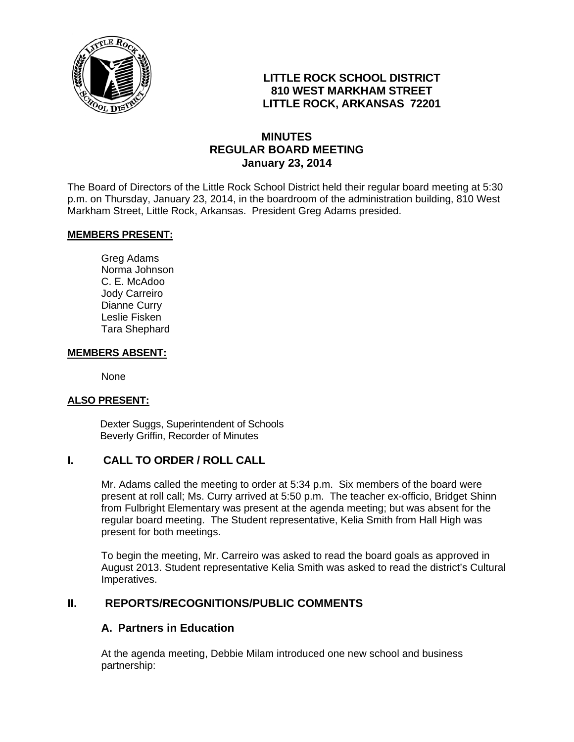

# **LITTLE ROCK SCHOOL DISTRICT 810 WEST MARKHAM STREET LITTLE ROCK, ARKANSAS 72201**

## **MINUTES REGULAR BOARD MEETING January 23, 2014**

The Board of Directors of the Little Rock School District held their regular board meeting at 5:30 p.m. on Thursday, January 23, 2014, in the boardroom of the administration building, 810 West Markham Street, Little Rock, Arkansas. President Greg Adams presided.

#### **MEMBERS PRESENT:**

Greg Adams Norma Johnson C. E. McAdoo Jody Carreiro Dianne Curry Leslie Fisken Tara Shephard

#### **MEMBERS ABSENT:**

None

### **ALSO PRESENT:**

 Dexter Suggs, Superintendent of Schools Beverly Griffin, Recorder of Minutes

### **I. CALL TO ORDER / ROLL CALL**

Mr. Adams called the meeting to order at 5:34 p.m. Six members of the board were present at roll call; Ms. Curry arrived at 5:50 p.m. The teacher ex-officio, Bridget Shinn from Fulbright Elementary was present at the agenda meeting; but was absent for the regular board meeting. The Student representative, Kelia Smith from Hall High was present for both meetings.

To begin the meeting, Mr. Carreiro was asked to read the board goals as approved in August 2013. Student representative Kelia Smith was asked to read the district's Cultural Imperatives.

### **II. REPORTS/RECOGNITIONS/PUBLIC COMMENTS**

### **A. Partners in Education**

At the agenda meeting, Debbie Milam introduced one new school and business partnership: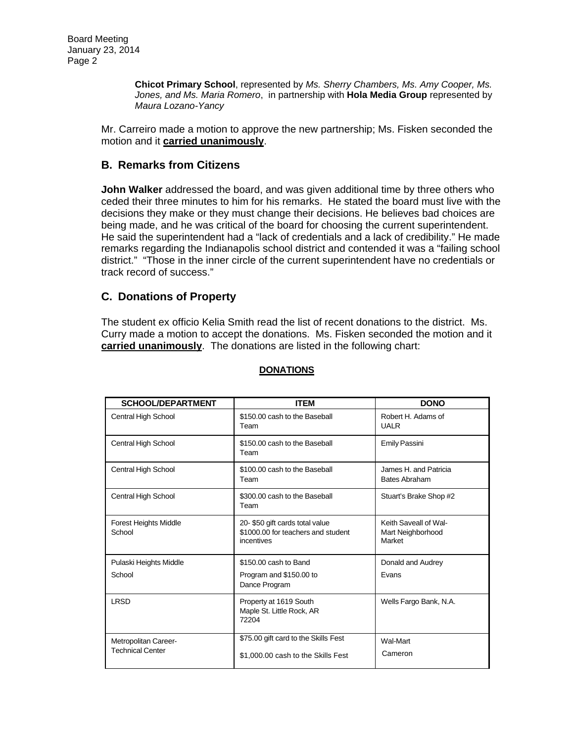**Chicot Primary School**, represented by *Ms. Sherry Chambers, Ms. Amy Cooper, Ms. Jones, and Ms. Maria Romero*, in partnership with **Hola Media Group** represented by *Maura Lozano-Yancy*

Mr. Carreiro made a motion to approve the new partnership; Ms. Fisken seconded the motion and it **carried unanimously**.

### **B. Remarks from Citizens**

**John Walker** addressed the board, and was given additional time by three others who ceded their three minutes to him for his remarks. He stated the board must live with the decisions they make or they must change their decisions. He believes bad choices are being made, and he was critical of the board for choosing the current superintendent. He said the superintendent had a "lack of credentials and a lack of credibility." He made remarks regarding the Indianapolis school district and contended it was a "failing school district." "Those in the inner circle of the current superintendent have no credentials or track record of success."

### **C. Donations of Property**

The student ex officio Kelia Smith read the list of recent donations to the district. Ms. Curry made a motion to accept the donations. Ms. Fisken seconded the motion and it **carried unanimously**. The donations are listed in the following chart:

| <b>SCHOOL/DEPARTMENT</b>                        | <b>ITEM</b>                                                                        | <b>DONO</b>                                          |
|-------------------------------------------------|------------------------------------------------------------------------------------|------------------------------------------------------|
| Central High School                             | \$150.00 cash to the Baseball<br>Team                                              | Robert H. Adams of<br><b>UALR</b>                    |
| Central High School                             | \$150.00 cash to the Baseball<br>Team                                              | Emily Passini                                        |
| Central High School                             | \$100.00 cash to the Baseball<br>Team                                              | James H. and Patricia<br><b>Bates Abraham</b>        |
| Central High School                             | \$300.00 cash to the Baseball<br>Team                                              | Stuart's Brake Shop #2                               |
| <b>Forest Heights Middle</b><br>School          | 20-\$50 gift cards total value<br>\$1000.00 for teachers and student<br>incentives | Keith Saveall of Wal-<br>Mart Neighborhood<br>Market |
| Pulaski Heights Middle                          | \$150.00 cash to Band                                                              | Donald and Audrey                                    |
| School                                          | Program and \$150.00 to<br>Dance Program                                           | Evans                                                |
| <b>LRSD</b>                                     | Property at 1619 South<br>Maple St. Little Rock, AR<br>72204                       | Wells Fargo Bank, N.A.                               |
| Metropolitan Career-<br><b>Technical Center</b> | \$75.00 gift card to the Skills Fest                                               | Wal-Mart                                             |
|                                                 | \$1,000,00 cash to the Skills Fest                                                 | Cameron                                              |

#### **DONATIONS**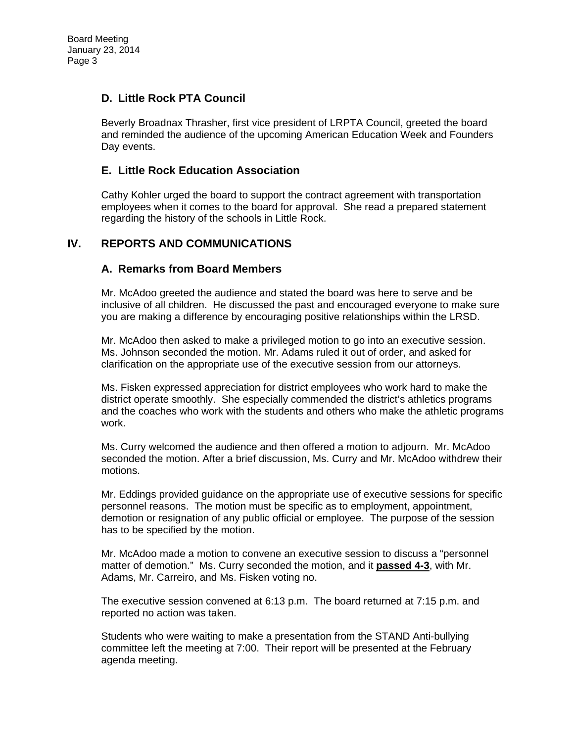### **D. Little Rock PTA Council**

Beverly Broadnax Thrasher, first vice president of LRPTA Council, greeted the board and reminded the audience of the upcoming American Education Week and Founders Day events.

## **E. Little Rock Education Association**

Cathy Kohler urged the board to support the contract agreement with transportation employees when it comes to the board for approval. She read a prepared statement regarding the history of the schools in Little Rock.

# **IV. REPORTS AND COMMUNICATIONS**

# **A. Remarks from Board Members**

Mr. McAdoo greeted the audience and stated the board was here to serve and be inclusive of all children. He discussed the past and encouraged everyone to make sure you are making a difference by encouraging positive relationships within the LRSD.

Mr. McAdoo then asked to make a privileged motion to go into an executive session. Ms. Johnson seconded the motion. Mr. Adams ruled it out of order, and asked for clarification on the appropriate use of the executive session from our attorneys.

Ms. Fisken expressed appreciation for district employees who work hard to make the district operate smoothly. She especially commended the district's athletics programs and the coaches who work with the students and others who make the athletic programs work.

Ms. Curry welcomed the audience and then offered a motion to adjourn. Mr. McAdoo seconded the motion. After a brief discussion, Ms. Curry and Mr. McAdoo withdrew their motions.

Mr. Eddings provided guidance on the appropriate use of executive sessions for specific personnel reasons. The motion must be specific as to employment, appointment, demotion or resignation of any public official or employee. The purpose of the session has to be specified by the motion.

Mr. McAdoo made a motion to convene an executive session to discuss a "personnel matter of demotion." Ms. Curry seconded the motion, and it **passed 4-3**, with Mr. Adams, Mr. Carreiro, and Ms. Fisken voting no.

The executive session convened at 6:13 p.m. The board returned at 7:15 p.m. and reported no action was taken.

Students who were waiting to make a presentation from the STAND Anti-bullying committee left the meeting at 7:00. Their report will be presented at the February agenda meeting.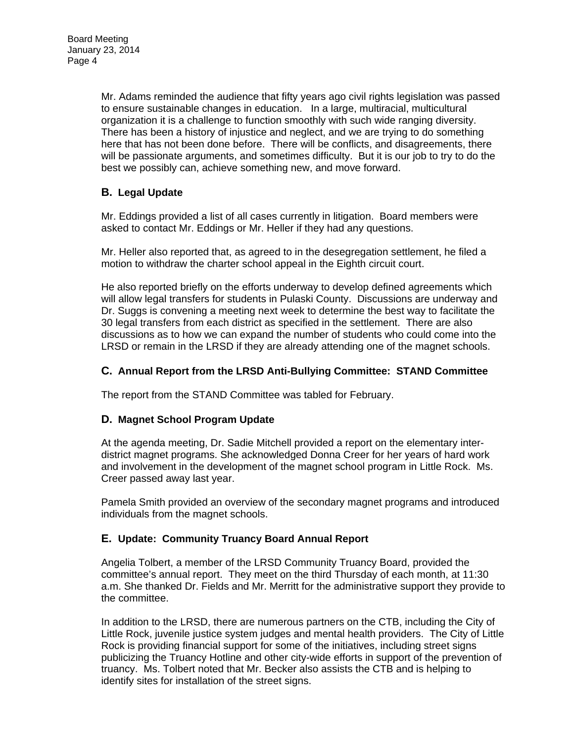Mr. Adams reminded the audience that fifty years ago civil rights legislation was passed to ensure sustainable changes in education. In a large, multiracial, multicultural organization it is a challenge to function smoothly with such wide ranging diversity. There has been a history of injustice and neglect, and we are trying to do something here that has not been done before. There will be conflicts, and disagreements, there will be passionate arguments, and sometimes difficulty. But it is our job to try to do the best we possibly can, achieve something new, and move forward.

# **B. Legal Update**

Mr. Eddings provided a list of all cases currently in litigation. Board members were asked to contact Mr. Eddings or Mr. Heller if they had any questions.

Mr. Heller also reported that, as agreed to in the desegregation settlement, he filed a motion to withdraw the charter school appeal in the Eighth circuit court.

He also reported briefly on the efforts underway to develop defined agreements which will allow legal transfers for students in Pulaski County. Discussions are underway and Dr. Suggs is convening a meeting next week to determine the best way to facilitate the 30 legal transfers from each district as specified in the settlement. There are also discussions as to how we can expand the number of students who could come into the LRSD or remain in the LRSD if they are already attending one of the magnet schools.

### **C. Annual Report from the LRSD Anti-Bullying Committee: STAND Committee**

The report from the STAND Committee was tabled for February.

### **D. Magnet School Program Update**

At the agenda meeting, Dr. Sadie Mitchell provided a report on the elementary interdistrict magnet programs. She acknowledged Donna Creer for her years of hard work and involvement in the development of the magnet school program in Little Rock. Ms. Creer passed away last year.

Pamela Smith provided an overview of the secondary magnet programs and introduced individuals from the magnet schools.

### **E. Update: Community Truancy Board Annual Report**

Angelia Tolbert, a member of the LRSD Community Truancy Board, provided the committee's annual report. They meet on the third Thursday of each month, at 11:30 a.m. She thanked Dr. Fields and Mr. Merritt for the administrative support they provide to the committee.

In addition to the LRSD, there are numerous partners on the CTB, including the City of Little Rock, juvenile justice system judges and mental health providers. The City of Little Rock is providing financial support for some of the initiatives, including street signs publicizing the Truancy Hotline and other city-wide efforts in support of the prevention of truancy. Ms. Tolbert noted that Mr. Becker also assists the CTB and is helping to identify sites for installation of the street signs.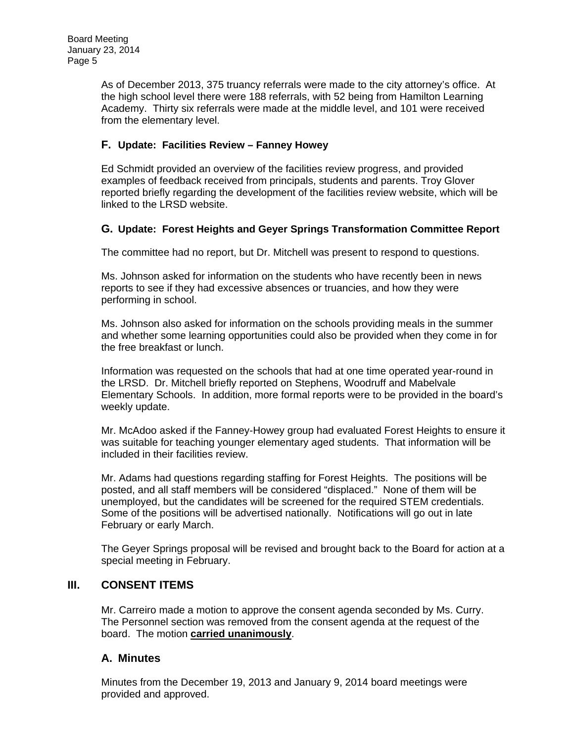As of December 2013, 375 truancy referrals were made to the city attorney's office. At the high school level there were 188 referrals, with 52 being from Hamilton Learning Academy. Thirty six referrals were made at the middle level, and 101 were received from the elementary level.

### **F. Update: Facilities Review – Fanney Howey**

Ed Schmidt provided an overview of the facilities review progress, and provided examples of feedback received from principals, students and parents. Troy Glover reported briefly regarding the development of the facilities review website, which will be linked to the LRSD website.

### **G. Update: Forest Heights and Geyer Springs Transformation Committee Report**

The committee had no report, but Dr. Mitchell was present to respond to questions.

Ms. Johnson asked for information on the students who have recently been in news reports to see if they had excessive absences or truancies, and how they were performing in school.

Ms. Johnson also asked for information on the schools providing meals in the summer and whether some learning opportunities could also be provided when they come in for the free breakfast or lunch.

Information was requested on the schools that had at one time operated year-round in the LRSD. Dr. Mitchell briefly reported on Stephens, Woodruff and Mabelvale Elementary Schools. In addition, more formal reports were to be provided in the board's weekly update.

Mr. McAdoo asked if the Fanney-Howey group had evaluated Forest Heights to ensure it was suitable for teaching younger elementary aged students. That information will be included in their facilities review.

Mr. Adams had questions regarding staffing for Forest Heights. The positions will be posted, and all staff members will be considered "displaced." None of them will be unemployed, but the candidates will be screened for the required STEM credentials. Some of the positions will be advertised nationally. Notifications will go out in late February or early March.

The Geyer Springs proposal will be revised and brought back to the Board for action at a special meeting in February.

### **III. CONSENT ITEMS**

Mr. Carreiro made a motion to approve the consent agenda seconded by Ms. Curry. The Personnel section was removed from the consent agenda at the request of the board. The motion **carried unanimously**.

### **A. Minutes**

Minutes from the December 19, 2013 and January 9, 2014 board meetings were provided and approved.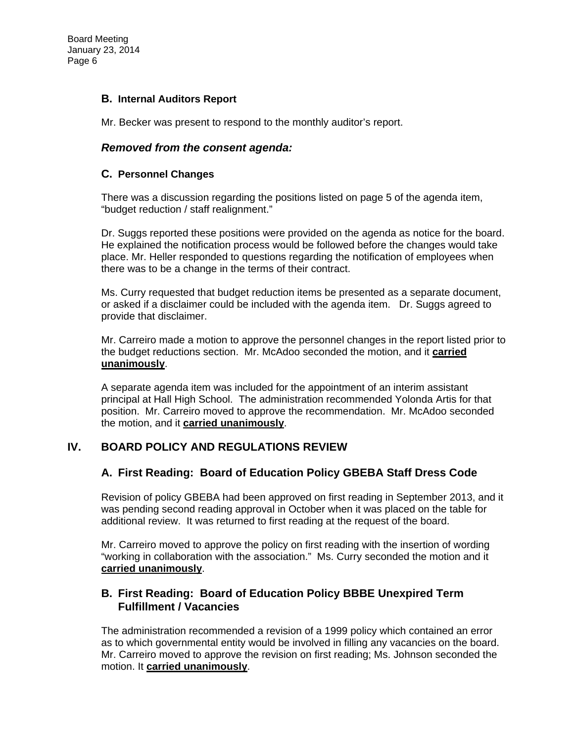### **B. Internal Auditors Report**

Mr. Becker was present to respond to the monthly auditor's report.

### *Removed from the consent agenda:*

#### **C. Personnel Changes**

There was a discussion regarding the positions listed on page 5 of the agenda item, "budget reduction / staff realignment."

Dr. Suggs reported these positions were provided on the agenda as notice for the board. He explained the notification process would be followed before the changes would take place. Mr. Heller responded to questions regarding the notification of employees when there was to be a change in the terms of their contract.

Ms. Curry requested that budget reduction items be presented as a separate document, or asked if a disclaimer could be included with the agenda item. Dr. Suggs agreed to provide that disclaimer.

Mr. Carreiro made a motion to approve the personnel changes in the report listed prior to the budget reductions section. Mr. McAdoo seconded the motion, and it **carried unanimously**.

A separate agenda item was included for the appointment of an interim assistant principal at Hall High School. The administration recommended Yolonda Artis for that position. Mr. Carreiro moved to approve the recommendation. Mr. McAdoo seconded the motion, and it **carried unanimously**.

### **IV. BOARD POLICY AND REGULATIONS REVIEW**

### **A. First Reading: Board of Education Policy GBEBA Staff Dress Code**

Revision of policy GBEBA had been approved on first reading in September 2013, and it was pending second reading approval in October when it was placed on the table for additional review. It was returned to first reading at the request of the board.

Mr. Carreiro moved to approve the policy on first reading with the insertion of wording "working in collaboration with the association." Ms. Curry seconded the motion and it **carried unanimously**.

### **B. First Reading: Board of Education Policy BBBE Unexpired Term Fulfillment / Vacancies**

The administration recommended a revision of a 1999 policy which contained an error as to which governmental entity would be involved in filling any vacancies on the board. Mr. Carreiro moved to approve the revision on first reading; Ms. Johnson seconded the motion. It **carried unanimously**.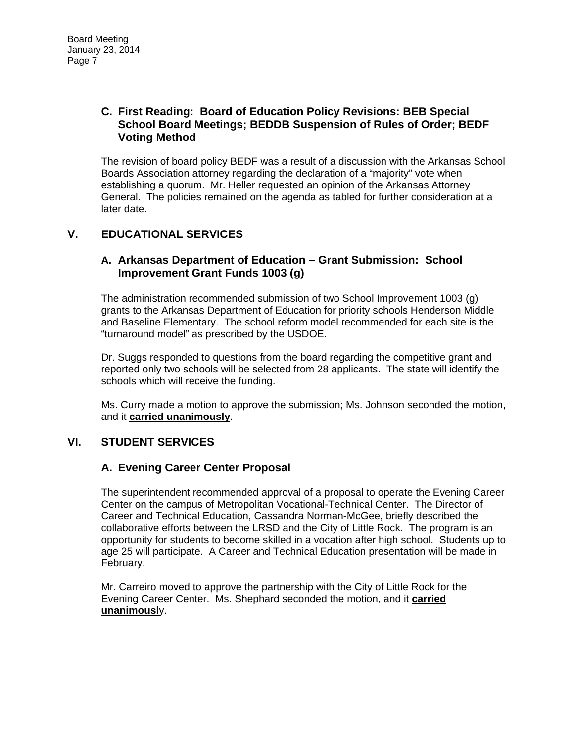# **C. First Reading: Board of Education Policy Revisions: BEB Special School Board Meetings; BEDDB Suspension of Rules of Order; BEDF Voting Method**

The revision of board policy BEDF was a result of a discussion with the Arkansas School Boards Association attorney regarding the declaration of a "majority" vote when establishing a quorum. Mr. Heller requested an opinion of the Arkansas Attorney General. The policies remained on the agenda as tabled for further consideration at a later date.

# **V. EDUCATIONAL SERVICES**

## **A. Arkansas Department of Education – Grant Submission: School Improvement Grant Funds 1003 (g)**

The administration recommended submission of two School Improvement 1003 (g) grants to the Arkansas Department of Education for priority schools Henderson Middle and Baseline Elementary. The school reform model recommended for each site is the "turnaround model" as prescribed by the USDOE.

Dr. Suggs responded to questions from the board regarding the competitive grant and reported only two schools will be selected from 28 applicants. The state will identify the schools which will receive the funding.

Ms. Curry made a motion to approve the submission; Ms. Johnson seconded the motion, and it **carried unanimously**.

# **VI. STUDENT SERVICES**

### **A. Evening Career Center Proposal**

The superintendent recommended approval of a proposal to operate the Evening Career Center on the campus of Metropolitan Vocational-Technical Center. The Director of Career and Technical Education, Cassandra Norman-McGee, briefly described the collaborative efforts between the LRSD and the City of Little Rock. The program is an opportunity for students to become skilled in a vocation after high school. Students up to age 25 will participate. A Career and Technical Education presentation will be made in February.

Mr. Carreiro moved to approve the partnership with the City of Little Rock for the Evening Career Center. Ms. Shephard seconded the motion, and it **carried unanimousl**y.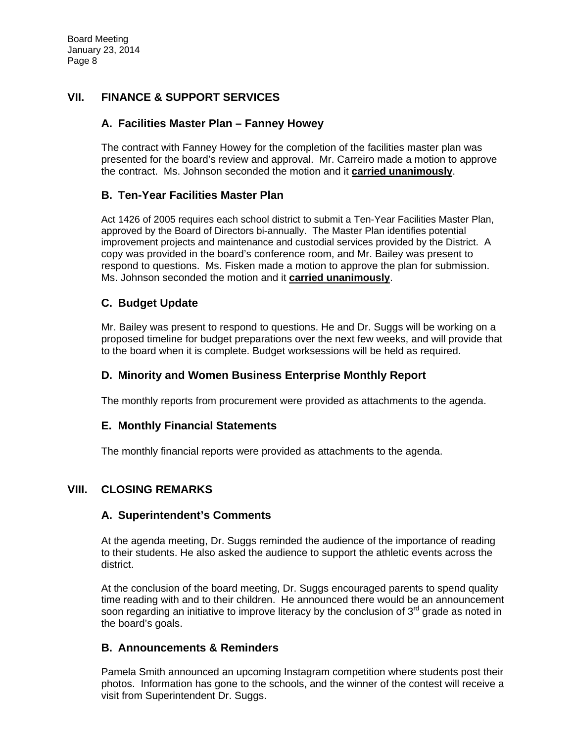# **VII. FINANCE & SUPPORT SERVICES**

### **A. Facilities Master Plan – Fanney Howey**

The contract with Fanney Howey for the completion of the facilities master plan was presented for the board's review and approval. Mr. Carreiro made a motion to approve the contract. Ms. Johnson seconded the motion and it **carried unanimously**.

### **B. Ten-Year Facilities Master Plan**

Act 1426 of 2005 requires each school district to submit a Ten-Year Facilities Master Plan, approved by the Board of Directors bi-annually. The Master Plan identifies potential improvement projects and maintenance and custodial services provided by the District. A copy was provided in the board's conference room, and Mr. Bailey was present to respond to questions. Ms. Fisken made a motion to approve the plan for submission. Ms. Johnson seconded the motion and it **carried unanimously**.

### **C. Budget Update**

Mr. Bailey was present to respond to questions. He and Dr. Suggs will be working on a proposed timeline for budget preparations over the next few weeks, and will provide that to the board when it is complete. Budget worksessions will be held as required.

### **D. Minority and Women Business Enterprise Monthly Report**

The monthly reports from procurement were provided as attachments to the agenda.

### **E. Monthly Financial Statements**

The monthly financial reports were provided as attachments to the agenda.

### **VIII. CLOSING REMARKS**

### **A. Superintendent's Comments**

At the agenda meeting, Dr. Suggs reminded the audience of the importance of reading to their students. He also asked the audience to support the athletic events across the district.

At the conclusion of the board meeting, Dr. Suggs encouraged parents to spend quality time reading with and to their children. He announced there would be an announcement soon regarding an initiative to improve literacy by the conclusion of  $3<sup>rd</sup>$  grade as noted in the board's goals.

### **B. Announcements & Reminders**

Pamela Smith announced an upcoming Instagram competition where students post their photos. Information has gone to the schools, and the winner of the contest will receive a visit from Superintendent Dr. Suggs.